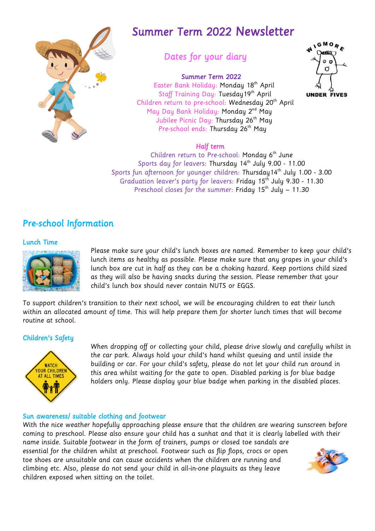

# Summer Term 2022 Newsletter

# Dates for your diary

### Summer Term 2022

 Easter Bank Holiday: Monday 18th April Staff Training Day: Tuesday 19<sup>th</sup> April Children return to pre-school: Wednesday 20<sup>th</sup> April May Day Bank Holiday: **Monday 2**<sup>nd</sup> **May** Jubilee Picnic Day: Thursday 26<sup>th</sup> May Pre-school ends: Thursday 26<sup>th</sup> May



#### Half term

Children return to Pre-school: Monday 6<sup>th</sup> June Sports day for leavers: Thursday 14 th July 9.00 - 11.00 Sports fun afternoon for younger children: Thursday14 th July 1.00 - 3.00 Graduation leaver's party for leavers: Friday 15<sup>th</sup> July 9.30 - 11.30 Preschool closes for the summer: Friday  $15<sup>th</sup>$  July – 11.30

## Pre-school Information

#### Lunch Time



Please make sure your child's lunch boxes are named. Remember to keep your child's lunch items as healthy as possible. Please make sure that any grapes in your child's lunch box are cut in half as they can be a choking hazard. Keep portions child sized as they will also be having snacks during the session. Please remember that your child's lunch box should never contain NUTS or EGGS.

To support children's transition to their next school, we will be encouraging children to eat their lunch within an allocated amount of time. This will help prepare them for shorter lunch times that will become routine at school.

#### Children's Safety



When dropping off or collecting your child, please drive slowly and carefully whilst in the car park. Always hold your child's hand whilst queuing and until inside the building or car. For your child's safety, please do not let your child run around in this area whilst waiting for the gate to open. Disabled parking is for blue badge holders only. Please display your blue badge when parking in the disabled places.

#### Sun awareness/ suitable clothing and footwear

With the nice weather hopefully approaching please ensure that the children are wearing sunscreen before coming to preschool. Please also ensure your child has a sunhat and that it is clearly labelled with their name inside. Suitable footwear in the form of trainers, pumps or closed toe sandals are essential for the children whilst at preschool. Footwear such as flip flops, crocs or open toe shoes are unsuitable and can cause accidents when the children are running and climbing etc. Also, please do not send your child in all-in-one playsuits as they leave children exposed when sitting on the toilet.